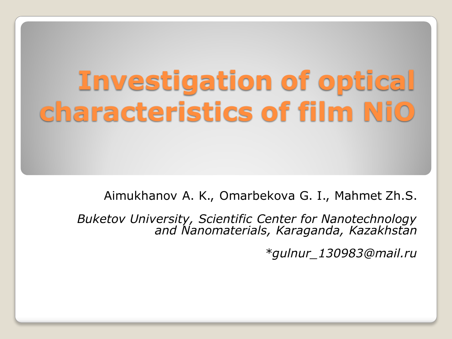## **Investigation of optical characteristics of film NiO**

Aimukhanov A. K., Omarbekova G. I., Mahmet Zh.S.

*Buketov University, Scientific Center for Nanotechnology and Nanomaterials, Karaganda, Kazakhstan* 

*\*gulnur\_130983@mail.ru*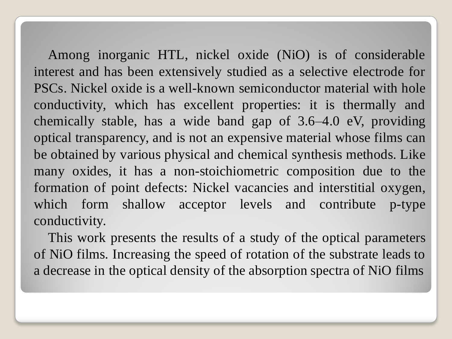Among inorganic HTL, nickel oxide (NiO) is of considerable interest and has been extensively studied as a selective electrode for PSCs. Nickel oxide is a well-known semiconductor material with hole conductivity, which has excellent properties: it is thermally and chemically stable, has a wide band gap of 3.6–4.0 eV, providing optical transparency, and is not an expensive material whose films can be obtained by various physical and chemical synthesis methods. Like many oxides, it has a non-stoichiometric composition due to the formation of point defects: Nickel vacancies and interstitial oxygen, which form shallow acceptor levels and contribute p-type conductivity.

This work presents the results of a study of the optical parameters of NiO films. Increasing the speed of rotation of the substrate leads to a decrease in the optical density of the absorption spectra of NiO films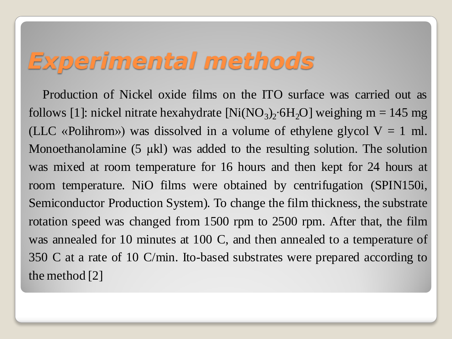## *Experimental methods*

Production of Nickel oxide films on the ITO surface was carried out as follows [1]: nickel nitrate hexahydrate  $[Ni(NO<sub>3</sub>)<sub>2</sub>·6H<sub>2</sub>O]$  weighing m = 145 mg (LLC «Polihrom») was dissolved in a volume of ethylene glycol  $V = 1$  ml. Monoethanolamine (5 µkl) was added to the resulting solution. The solution was mixed at room temperature for 16 hours and then kept for 24 hours at room temperature. NiO films were obtained by centrifugation (SPIN150i, Semiconductor Production System). To change the film thickness, the substrate rotation speed was changed from 1500 rpm to 2500 rpm. After that, the film was annealed for 10 minutes at 100 C, and then annealed to a temperature of 350 C at a rate of 10 C/min. Ito-based substrates were prepared according to the method [2]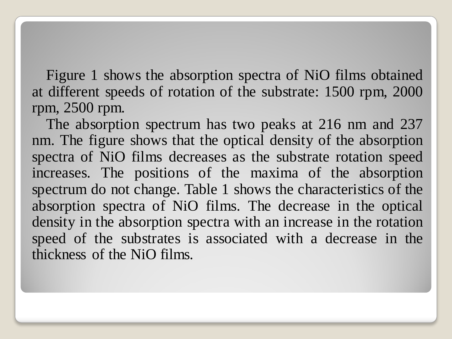Figure 1 shows the absorption spectra of NiO films obtained at different speeds of rotation of the substrate: 1500 rpm, 2000 rpm, 2500 rpm.

The absorption spectrum has two peaks at 216 nm and 237 nm. The figure shows that the optical density of the absorption spectra of NiO films decreases as the substrate rotation speed increases. The positions of the maxima of the absorption spectrum do not change. Table 1 shows the characteristics of the absorption spectra of NiO films. The decrease in the optical density in the absorption spectra with an increase in the rotation speed of the substrates is associated with a decrease in the thickness of the NiO films.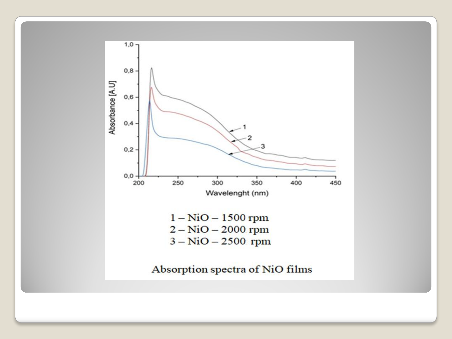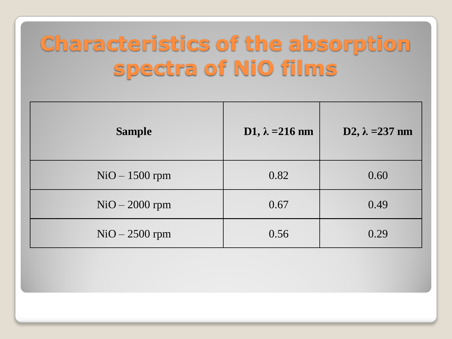## **Characteristics of the absorption** spectra of NiO films

| <b>Sample</b>    | D1, $\lambda = 216$ nm | D2, $\lambda = 237$ nm |
|------------------|------------------------|------------------------|
| $NiO - 1500$ rpm | 0.82                   | 0.60                   |
| $NiO - 2000$ rpm | 0.67                   | 0.49                   |
| $NiO - 2500$ rpm | 0.56                   | 0.29                   |